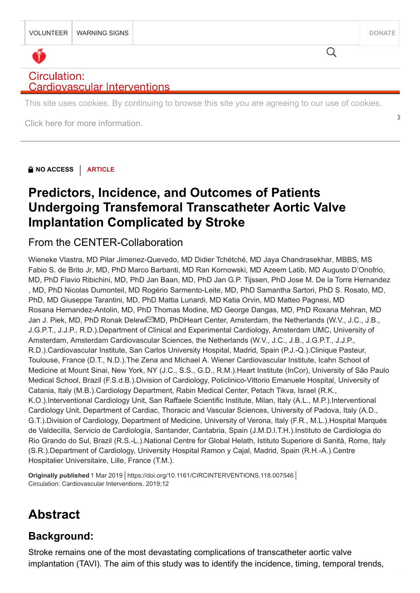$\overline{Q}$ 

# Circulation: **Cardiovascular Interventions**

This site uses cookies. By continuing to browse this site you are agreeing to our use of cookies.

**[Click here for more information.](https://journals.lww.com/_layouts/15/oaks.journals/privacy.aspx) •** 

**NO ACCESS** | **ARTICLE**

# **Predictors, Incidence, and Outcomes of Patients [Undergoing Transfemoral Transcatheter Aortic Valve](https://www.ahajournals.org/doi/full/10.1161/CIRCINTERVENTIONS.118.007546) Implantation Complicated by Stroke**

# From the CENTER-Collaboration

Wieneke Vlastra, MD Pilar Jimenez-Quevedo, MD Didier Tchétché, MD Jaya Chandrasekhar, MBBS, MS Fabio S. de Brito Jr, MD, PhD Marco Barbanti, MD Ran Kornowski, MD Azeem Latib, MD Augusto D'Onofrio, MD, PhD Flavio Ribichini, MD, PhD Jan Baan, MD, PhD Jan G.P. Tijssen, PhD Jose M. De la Torre Hernandez , MD, PhD Nicolas Dumonteil, MD Rogério Sarmento-Leite, MD, PhD Samantha Sartori, PhD S. Rosato, MD, PhD, MD Giuseppe Tarantini, MD, PhD Mattia Lunardi, MD Katia Orvin, MD Matteo Pagnesi, MD Rosana Hernandez-Antolin, MD, PhD Thomas Modine, MD George Dangas, MD, PhD Roxana Mehran, MD Jan J. Piek, MD, PhD Ronak Delewi⊠MD, PhDHeart Center, Amsterdam, the Netherlands (W.V., J.C., J.B., J.G.P.T., J.J.P., R.D.).Department of Clinical and Experimental Cardiology, Amsterdam UMC, University of Amsterdam, Amsterdam Cardiovascular Sciences, the Netherlands (W.V., J.C., J.B., J.G.P.T., J.J.P., R.D.).Cardiovascular Institute, San Carlos University Hospital, Madrid, Spain (P.J.-Q.).Clinique Pasteur, Toulouse, France (D.T., N.D.).The Zena and Michael A. Wiener Cardiovascular Institute, Icahn School of Medicine at Mount Sinai, New York, NY (J.C., S.S., G.D., R.M.).Heart Institute (InCor), University of São Paulo Medical School, Brazil (F.S.d.B.).Division of Cardiology, Policlinico-Vittorio Emanuele Hospital, University of Catania, Italy (M.B.).Cardiology Department, Rabin Medical Center, Petach Tikva, Israel (R.K., K.O.).Interventional Cardiology Unit, San Raffaele Scientific Institute, Milan, Italy (A.L., M.P.).Interventional Cardiology Unit, Department of Cardiac, Thoracic and Vascular Sciences, University of Padova, Italy (A.D., G.T.).Division of Cardiology, Department of Medicine, University of Verona, Italy (F.R., M.L.).Hospital Marqués de Valdecilla, Servicio de Cardiología, Santander, Cantabria, Spain (J.M.D.l.T.H.).Instituto de Cardiologia do Rio Grando do Sul, Brazil (R.S.-L.).National Centre for Global Helath, Istituto Superiore di Sanità, Rome, Italy (S.R.).Department of Cardiology, University Hospital Ramon y Cajal, Madrid, Spain (R.H.-A.).Centre Hospitalier Universitaire, Lille, France (T.M.).

Circulation: Cardiovascular Interventions. 2019;12

# **Abstract**

# **Background:**

Stroke remains one of the most devastating complications of transcatheter aortic valve originally published 1 Mar 2019 | <https://doi.org/10.1161/CIRCINTERVENTIONS.118.007546> |<br>Circulation: Cardiovascular Interventions. 2019;12<br>**Abstract**<br>Stroke remains one of the most devastating complications of transcathet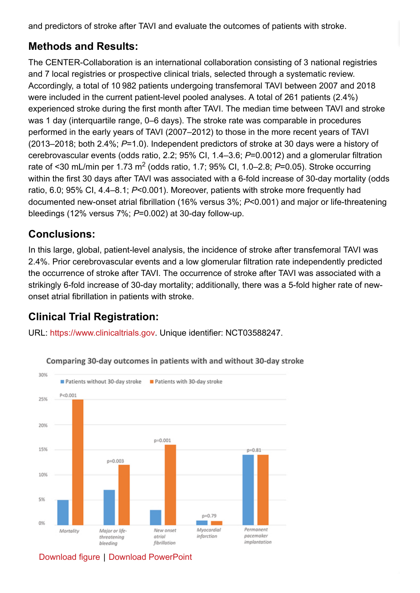and predictors of stroke after TAVI and evaluate the outcomes of patients with stroke.

# **Methods and Results:**

The CENTER-Collaboration is an international collaboration consisting of 3 national registries and 7 local registries or prospective clinical trials, selected through a systematic review. Accordingly, a total of 10 982 patients undergoing transfemoral TAVI between 2007 and 2018 were included in the current patient-level pooled analyses. A total of 261 patients (2.4%) experienced stroke during the first month after TAVI. The median time between TAVI and stroke was 1 day (interquartile range, 0–6 days). The stroke rate was comparable in procedures performed in the early years of TAVI (2007–2012) to those in the more recent years of TAVI (2013–2018; both 2.4%; *P*=1.0). Independent predictors of stroke at 30 days were a history of cerebrovascular events (odds ratio, 2.2; 95% CI, 1.4–3.6; *P*=0.0012) and a glomerular filtration rate of <30 mL/min per 1.73 m<sup>2</sup> (odds ratio, 1.7; 95% CI, 1.0–2.8; P=0.05). Stroke occurring within the first 30 days after TAVI was associated with a 6-fold increase of 30-day mortality (odds ratio, 6.0; 95% CI, 4.4–8.1; *P*<0.001). Moreover, patients with stroke more frequently had documented new-onset atrial fibrillation (16% versus 3%; *P*<0.001) and major or life-threatening bleedings (12% versus 7%; *P*=0.002) at 30-day follow-up.

# **Conclusions:**

In this large, global, patient-level analysis, the incidence of stroke after transfemoral TAVI was 2.4%. Prior cerebrovascular events and a low glomerular filtration rate independently predicted the occurrence of stroke after TAVI. The occurrence of stroke after TAVI was associated with a strikingly 6-fold increase of 30-day mortality; additionally, there was a 5-fold higher rate of newonset atrial fibrillation in patients with stroke.

# **Clinical Trial Registration:**

URL: [https://www.clinicaltrials.gov.](https://www.clinicaltrials.gov/) Unique identifier: NCT03588247.



Comparing 30-day outcomes in patients with and without 30-day stroke

# [Download figure](https://www.ahajournals.org/cms/attachment/f3594381-b544-4d27-9537-14af009df65b/e007546fig02.jpg) | [Download PowerPoint](https://www.ahajournals.org/action/downloadFigures?id=fig0&doi=10.1161%2FCIRCINTERVENTIONS.118.007546)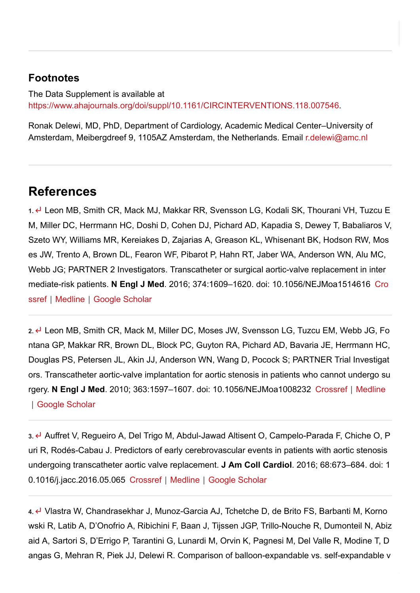## **Footnotes**

The Data Supplement is available at [https://www.ahajournals.org/doi/suppl/10.1161/CIRCINTERVENTIONS.118.007546.](https://www.ahajournals.org/doi/suppl/10.1161/CIRCINTERVENTIONS.118.007546)

Ronak Delewi, MD, PhD, Department of Cardiology, Academic Medical Center–University of Amsterdam, Meibergdreef 9, 1105AZ Amsterdam, the Netherlands. Email [r.delewi@amc.nl](mailto:r.delewi@amc.nl)

# **References**

**1.** Leon MB, Smith CR, Mack MJ, Makkar RR, Svensson LG, Kodali SK, Thourani VH, Tuzcu E M, Miller DC, Herrmann HC, Doshi D, Cohen DJ, Pichard AD, Kapadia S, Dewey T, Babaliaros V, Szeto WY, Williams MR, Kereiakes D, Zajarias A, Greason KL, Whisenant BK, Hodson RW, Mos es JW, Trento A, Brown DL, Fearon WF, Pibarot P, Hahn RT, Jaber WA, Anderson WN, Alu MC, Webb JG; PARTNER 2 Investigators. Transcatheter or surgical aortic-valve replacement in inter mediate-risk patients. **N Engl J Med**[. 2016; 374:1609–1620. doi: 10.1056/NEJMoa1514616](https://www.ahajournals.org/servlet/linkout?suffix=e_1_3_4_2_2&dbid=16&doi=10.1161%2FCIRCINTERVENTIONS.118.007546&key=10.1056%2FNEJMoa1514616) Cro ssref | [Medline](https://www.ahajournals.org/servlet/linkout?suffix=e_1_3_4_2_2&dbid=8&doi=10.1161%2FCIRCINTERVENTIONS.118.007546&key=27040324) | [Google Scholar](http://scholar.google.com/scholar_lookup?hl=en&volume=374&publication_year=2016&pages=1609-1620&journal=N+Engl+J+Med&author=MB+Leon&author=CR+Smith&author=MJ+Mack&author=RR+Makkar&author=LG+Svensson&author=SK+Kodali&author=VH+Thourani&author=EM+Tuzcu&author=DC+Miller&author=HC+Herrmann&author=D+Doshi&author=DJ+Cohen&author=AD+Pichard&author=S+Kapadia&author=T+Dewey&author=V+Babaliaros&author=WY+Szeto&author=MR+Williams&author=D+Kereiakes&author=A+Zajarias&author=KL+Greason&author=BK+Whisenant&author=RW+Hodson&author=JW+Moses&author=A+Trento&author=DL+Brown&author=WF+Fearon&author=P+Pibarot&author=RT+Hahn&author=WA+Jaber&author=WN+Anderson&author=MC+Alu&author=JG+Webb&title=Transcatheter+or+surgical+aortic-valve+replacement+in+intermediate-risk+patients.)

**2.** Leon MB, Smith CR, Mack M, Miller DC, Moses JW, Svensson LG, Tuzcu EM, Webb JG, Fo ntana GP, Makkar RR, Brown DL, Block PC, Guyton RA, Pichard AD, Bavaria JE, Herrmann HC, Douglas PS, Petersen JL, Akin JJ, Anderson WN, Wang D, Pocock S; PARTNER Trial Investigat ors. Transcatheter aortic-valve implantation for aortic stenosis in patients who cannot undergo su rgery. **N Engl J Med**[. 2010; 363:1597–1607. doi: 10.1056/NEJMoa1008232](https://www.ahajournals.org/servlet/linkout?suffix=e_1_3_4_3_2&dbid=8&doi=10.1161%2FCIRCINTERVENTIONS.118.007546&key=20961243) [Crossref](https://www.ahajournals.org/servlet/linkout?suffix=e_1_3_4_3_2&dbid=16&doi=10.1161%2FCIRCINTERVENTIONS.118.007546&key=10.1056%2FNEJMoa1008232) | Medline | [Google Scholar](http://scholar.google.com/scholar_lookup?hl=en&volume=363&publication_year=2010&pages=1597-1607&journal=N+Engl+J+Med&author=MB+Leon&author=CR+Smith&author=M+Mack&author=DC+Miller&author=JW+Moses&author=LG+Svensson&author=EM+Tuzcu&author=JG+Webb&author=GP+Fontana&author=RR+Makkar&author=DL+Brown&author=PC+Block&author=RA+Guyton&author=AD+Pichard&author=JE+Bavaria&author=HC+Herrmann&author=PS+Douglas&author=JL+Petersen&author=JJ+Akin&author=WN+Anderson&author=D+Wang&author=S+Pocock&title=Transcatheter+aortic-valve+implantation+for+aortic+stenosis+in+patients+who+cannot+undergo+surgery.)

**3.** Auffret V, Regueiro A, Del Trigo M, Abdul-Jawad Altisent O, Campelo-Parada F, Chiche O, P uri R, Rodés-Cabau J. Predictors of early cerebrovascular events in patients with aortic stenosis undergoing transcatheter aortic valve replacement. **J Am Coll Cardiol**. 2016; 68:673–684. doi: 1 0.1016/j.jacc.2016.05.065 [Crossref](https://www.ahajournals.org/servlet/linkout?suffix=e_1_3_4_4_2&dbid=16&doi=10.1161%2FCIRCINTERVENTIONS.118.007546&key=10.1016%2Fj.jacc.2016.05.065) | [Medline](https://www.ahajournals.org/servlet/linkout?suffix=e_1_3_4_4_2&dbid=8&doi=10.1161%2FCIRCINTERVENTIONS.118.007546&key=27515325) | [Google Scholar](http://scholar.google.com/scholar_lookup?hl=en&volume=68&publication_year=2016&pages=673-684&journal=J+Am+Coll+Cardiol&author=V+Auffret&author=A+Regueiro&author=M+Del+Trigo&author=O+Abdul-Jawad+Altisent&author=F+Campelo-Parada&author=O+Chiche&author=R+Puri&author=J+Rod%C3%A9s-Cabau&title=Predictors+of+early+cerebrovascular+events+in+patients+with+aortic+stenosis+undergoing+transcatheter+aortic+valve+replacement.)

**4.** Vlastra W, Chandrasekhar J, Munoz-Garcia AJ, Tchetche D, de Brito FS, Barbanti M, Korno wski R, Latib A, D'Onofrio A, Ribichini F, Baan J, Tijssen JGP, Trillo-Nouche R, Dumonteil N, Abiz aid A, Sartori S, D'Errigo P, Tarantini G, Lunardi M, Orvin K, Pagnesi M, Del Valle R, Modine T, D angas G, Mehran R, Piek JJ, Delewi R. Comparison of balloon-expandable vs. self-expandable v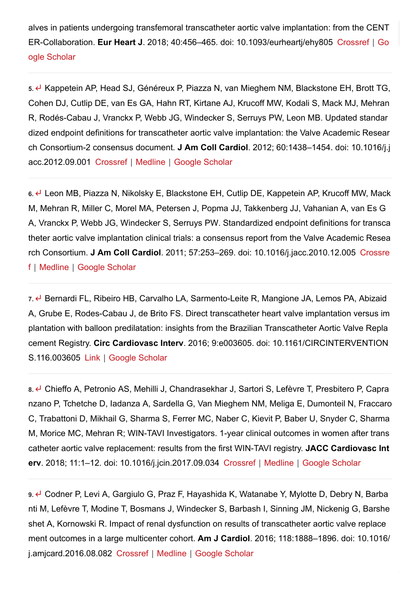alves in patients undergoing transfemoral transcatheter aortic valve implantation: from the CENT ER-Collaboration. **Eur Heart J**[. 2018; 40:456–465. doi: 10.1093/eurheartj/ehy805](http://scholar.google.com/scholar_lookup?hl=en&volume=40&publication_year=2018&pages=456-465&journal=Eur+Heart+J&author=W+Vlastra&author=J+Chandrasekhar&author=AJ+Munoz-Garcia&author=D+Tchetche&author=FS+de+Brito&author=M+Barbanti&author=R+Kornowski&author=A+Latib&author=A+D%E2%80%99Onofrio&author=F+Ribichini&author=J+Baan&author=JGP+Tijssen&author=R+Trillo-Nouche&author=N+Dumonteil&author=A+Abizaid&author=S+Sartori&author=P+D%E2%80%99Errigo&author=G+Tarantini&author=M+Lunardi&author=K+Orvin&author=M+Pagnesi&author=R+Del+Valle&author=T+Modine&author=G+Dangas&author=R+Mehran&author=JJ+Piek&author=R+Delewi&title=Comparison+of+balloon-expandable+vs.+self-expandable+valves+in+patients+undergoing+transfemoral+transcatheter+aortic+valve+implantation%3A+from+the+CENTER-Collaboration.) [Crossref](https://www.ahajournals.org/servlet/linkout?suffix=e_1_3_4_5_2&dbid=16&doi=10.1161%2FCIRCINTERVENTIONS.118.007546&key=10.1093%2Feurheartj%2Fehy805) | Go ogle Scholar

**5.** Kappetein AP, Head SJ, Généreux P, Piazza N, van Mieghem NM, Blackstone EH, Brott TG, Cohen DJ, Cutlip DE, van Es GA, Hahn RT, Kirtane AJ, Krucoff MW, Kodali S, Mack MJ, Mehran R, Rodés-Cabau J, Vranckx P, Webb JG, Windecker S, Serruys PW, Leon MB. Updated standar dized endpoint definitions for transcatheter aortic valve implantation: the Valve Academic Resear ch Consortium-2 consensus document. **J Am Coll Cardiol**. 2012; 60:1438–1454. doi: 10.1016/j.j acc.2012.09.001 [Crossref](https://www.ahajournals.org/servlet/linkout?suffix=e_1_3_4_6_2&dbid=16&doi=10.1161%2FCIRCINTERVENTIONS.118.007546&key=10.1016%2Fj.jacc.2012.09.001) | [Medline](https://www.ahajournals.org/servlet/linkout?suffix=e_1_3_4_6_2&dbid=8&doi=10.1161%2FCIRCINTERVENTIONS.118.007546&key=23036636) | [Google Scholar](http://scholar.google.com/scholar_lookup?hl=en&volume=60&publication_year=2012&pages=1438-1454&journal=J+Am+Coll+Cardiol&author=AP+Kappetein&author=SJ+Head&author=P+G%C3%A9n%C3%A9reux&author=N+Piazza&author=NM+van+Mieghem&author=EH+Blackstone&author=TG+Brott&author=DJ+Cohen&author=DE+Cutlip&author=GA+van+Es&author=RT+Hahn&author=AJ+Kirtane&author=MW+Krucoff&author=S+Kodali&author=MJ+Mack&author=R+Mehran&author=J+Rod%C3%A9s-Cabau&author=P+Vranckx&author=JG+Webb&author=S+Windecker&author=PW+Serruys&author=MB+Leon&title=Updated+standardized+endpoint+definitions+for+transcatheter+aortic+valve+implantation%3A+the+Valve+Academic+Research+Consortium-2+consensus+document.)

**6.** Leon MB, Piazza N, Nikolsky E, Blackstone EH, Cutlip DE, Kappetein AP, Krucoff MW, Mack M, Mehran R, Miller C, Morel MA, Petersen J, Popma JJ, Takkenberg JJ, Vahanian A, van Es G A, Vranckx P, Webb JG, Windecker S, Serruys PW. Standardized endpoint definitions for transca theter aortic valve implantation clinical trials: a consensus report from the Valve Academic Resea rch Consortium. **J Am Coll Cardiol**[. 2011; 57:253–269. doi: 10.1016/j.jacc.2010.12.005](https://www.ahajournals.org/servlet/linkout?suffix=e_1_3_4_7_2&dbid=16&doi=10.1161%2FCIRCINTERVENTIONS.118.007546&key=10.1016%2Fj.jacc.2010.12.005) Crossre f | [Medline](https://www.ahajournals.org/servlet/linkout?suffix=e_1_3_4_7_2&dbid=8&doi=10.1161%2FCIRCINTERVENTIONS.118.007546&key=21216553) | [Google Scholar](http://scholar.google.com/scholar_lookup?hl=en&volume=57&publication_year=2011&pages=253-269&journal=J+Am+Coll+Cardiol&author=MB+Leon&author=N+Piazza&author=E+Nikolsky&author=EH+Blackstone&author=DE+Cutlip&author=AP+Kappetein&author=MW+Krucoff&author=M+Mack&author=R+Mehran&author=C+Miller&author=MA+Morel&author=J+Petersen&author=JJ+Popma&author=JJ+Takkenberg&author=A+Vahanian&author=GA+van+Es&author=P+Vranckx&author=JG+Webb&author=S+Windecker&author=PW+Serruys&title=Standardized+endpoint+definitions+for+transcatheter+aortic+valve+implantation+clinical+trials%3A+a+consensus+report+from+the+Valve+Academic+Research+Consortium.)

7. ← Bernardi FL, Ribeiro HB, Carvalho LA, Sarmento-Leite R, Mangione JA, Lemos PA, Abizaid A, Grube E, Rodes-Cabau J, de Brito FS. Direct transcatheter heart valve implantation versus im plantation with balloon predilatation: insights from the Brazilian Transcatheter Aortic Valve Repla cement Registry. **Circ Cardiovasc Interv**. 2016; 9:e003605. doi: 10.1161/CIRCINTERVENTION S.116.003605 [Link](https://www.ahajournals.org/doi/10.1161/CIRCINTERVENTIONS.116.003605) | [Google Scholar](http://scholar.google.com/scholar_lookup?hl=en&volume=9&publication_year=2016&pages=e003605&journal=Circ+Cardiovasc+Interv&author=FL+Bernardi&author=HB+Ribeiro&author=LA+Carvalho&author=R+Sarmento-Leite&author=JA+Mangione&author=PA+Lemos&author=A+Abizaid&author=E+Grube&author=J+Rodes-Cabau&author=FS+de+Brito&title=Direct+transcatheter+heart+valve+implantation+versus+implantation+with+balloon+predilatation%3A+insights+from+the+Brazilian+Transcatheter+Aortic+Valve+Replacement+Registry.)

**8.** Chieffo A, Petronio AS, Mehilli J, Chandrasekhar J, Sartori S, Lefèvre T, Presbitero P, Capra nzano P, Tchetche D, Iadanza A, Sardella G, Van Mieghem NM, Meliga E, Dumonteil N, Fraccaro C, Trabattoni D, Mikhail G, Sharma S, Ferrer MC, Naber C, Kievit P, Baber U, Snyder C, Sharma M, Morice MC, Mehran R; WIN-TAVI Investigators. 1-year clinical outcomes in women after trans catheter aortic valve replacement: results from the first WIN-TAVI registry. **JACC Cardiovasc Int erv**. 2018; 11:1–12. doi: 10.1016/j.jcin.2017.09.034 [Crossref](https://www.ahajournals.org/servlet/linkout?suffix=e_1_3_4_9_2&dbid=16&doi=10.1161%2FCIRCINTERVENTIONS.118.007546&key=10.1016%2Fj.jcin.2017.09.034) | [Medline](https://www.ahajournals.org/servlet/linkout?suffix=e_1_3_4_9_2&dbid=8&doi=10.1161%2FCIRCINTERVENTIONS.118.007546&key=29301640) | [Google Scholar](http://scholar.google.com/scholar_lookup?hl=en&volume=11&publication_year=2018&pages=1-12&journal=JACC+Cardiovasc+Interv&author=A+Chieffo&author=AS+Petronio&author=J+Mehilli&author=J+Chandrasekhar&author=S+Sartori&author=T+Lef%C3%A8vre&author=P+Presbitero&author=P+Capranzano&author=D+Tchetche&author=A+Iadanza&author=G+Sardella&author=NM+Van+Mieghem&author=E+Meliga&author=N+Dumonteil&author=C+Fraccaro&author=D+Trabattoni&author=G+Mikhail&author=S+Sharma&author=MC+Ferrer&author=C+Naber&author=P+Kievit&author=U+Baber&author=C+Snyder&author=M+Sharma&author=MC+Morice&author=R+Mehran&title=1-year+clinical+outcomes+in+women+after+transcatheter+aortic+valve+replacement%3A+results+from+the+first+WIN-TAVI+registry.)

**9.** Codner P, Levi A, Gargiulo G, Praz F, Hayashida K, Watanabe Y, Mylotte D, Debry N, Barba nti M, Lefèvre T, Modine T, Bosmans J, Windecker S, Barbash I, Sinning JM, Nickenig G, Barshe shet A, Kornowski R. Impact of renal dysfunction on results of transcatheter aortic valve replace ment outcomes in a large multicenter cohort. **Am J Cardiol**. 2016; 118:1888–1896. doi: 10.1016/ j.amjcard.2016.08.082 [Crossref](https://www.ahajournals.org/servlet/linkout?suffix=e_1_3_4_10_2&dbid=16&doi=10.1161%2FCIRCINTERVENTIONS.118.007546&key=10.1016%2Fj.amjcard.2016.08.082) | [Medline](https://www.ahajournals.org/servlet/linkout?suffix=e_1_3_4_10_2&dbid=8&doi=10.1161%2FCIRCINTERVENTIONS.118.007546&key=27726854) | [Google Scholar](http://scholar.google.com/scholar_lookup?hl=en&volume=118&publication_year=2016&pages=1888-1896&journal=Am+J+Cardiol&author=P+Codner&author=A+Levi&author=G+Gargiulo&author=F+Praz&author=K+Hayashida&author=Y+Watanabe&author=D+Mylotte&author=N+Debry&author=M+Barbanti&author=T+Lef%C3%A8vre&author=T+Modine&author=J+Bosmans&author=S+Windecker&author=I+Barbash&author=JM+Sinning&author=G+Nickenig&author=A+Barsheshet&author=R+Kornowski&title=Impact+of+renal+dysfunction+on+results+of+transcatheter+aortic+valve+replacement+outcomes+in+a+large+multicenter+cohort.)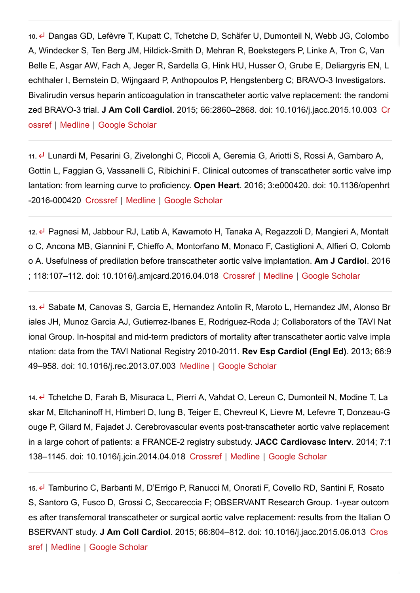**10.** Dangas GD, Lefèvre T, Kupatt C, Tchetche D, Schäfer U, Dumonteil N, Webb JG, Colombo A, Windecker S, Ten Berg JM, Hildick-Smith D, Mehran R, Boekstegers P, Linke A, Tron C, Van Belle E, Asgar AW, Fach A, Jeger R, Sardella G, Hink HU, Husser O, Grube E, Deliargyris EN, L echthaler I, Bernstein D, Wijngaard P, Anthopoulos P, Hengstenberg C; BRAVO-3 Investigators. Bivalirudin versus heparin anticoagulation in transcatheter aortic valve replacement: the randomi zed BRAVO-3 trial. **J Am Coll Cardiol**[. 2015; 66:2860–2868. doi: 10.1016/j.jacc.2015.10.003](https://www.ahajournals.org/servlet/linkout?suffix=e_1_3_4_11_2&dbid=16&doi=10.1161%2FCIRCINTERVENTIONS.118.007546&key=10.1016%2Fj.jacc.2015.10.003) Cr ossref | [Medline](https://www.ahajournals.org/servlet/linkout?suffix=e_1_3_4_11_2&dbid=8&doi=10.1161%2FCIRCINTERVENTIONS.118.007546&key=26477635) | [Google Scholar](http://scholar.google.com/scholar_lookup?hl=en&volume=66&publication_year=2015&pages=2860-2868&journal=J+Am+Coll+Cardiol&author=GD+Dangas&author=T+Lef%C3%A8vre&author=C+Kupatt&author=D+Tchetche&author=U+Sch%C3%A4fer&author=N+Dumonteil&author=JG+Webb&author=A+Colombo&author=S+Windecker&author=JM+Ten+Berg&author=D+Hildick-Smith&author=R+Mehran&author=P+Boekstegers&author=A+Linke&author=C+Tron&author=E+Van+Belle&author=AW+Asgar&author=A+Fach&author=R+Jeger&author=G+Sardella&author=HU+Hink&author=O+Husser&author=E+Grube&author=EN+Deliargyris&author=I+Lechthaler&author=D+Bernstein&author=P+Wijngaard&author=P+Anthopoulos&author=C+Hengstenberg&title=Bivalirudin+versus+heparin+anticoagulation+in+transcatheter+aortic+valve+replacement%3A+the+randomized+BRAVO-3+trial.)

**11.** Lunardi M, Pesarini G, Zivelonghi C, Piccoli A, Geremia G, Ariotti S, Rossi A, Gambaro A, Gottin L, Faggian G, Vassanelli C, Ribichini F. Clinical outcomes of transcatheter aortic valve imp lantation: from learning curve to proficiency. **Open Heart**. 2016; 3:e000420. doi: 10.1136/openhrt -2016-000420 [Crossref](https://www.ahajournals.org/servlet/linkout?suffix=e_1_3_4_12_2&dbid=16&doi=10.1161%2FCIRCINTERVENTIONS.118.007546&key=10.1136%2Fopenhrt-2016-000420) | [Medline](https://www.ahajournals.org/servlet/linkout?suffix=e_1_3_4_12_2&dbid=8&doi=10.1161%2FCIRCINTERVENTIONS.118.007546&key=27621826) | [Google Scholar](http://scholar.google.com/scholar_lookup?hl=en&volume=3&publication_year=2016&pages=e000420&journal=Open+Heart&author=M+Lunardi&author=G+Pesarini&author=C+Zivelonghi&author=A+Piccoli&author=G+Geremia&author=S+Ariotti&author=A+Rossi&author=A+Gambaro&author=L+Gottin&author=G+Faggian&author=C+Vassanelli&author=F+Ribichini&title=Clinical+outcomes+of+transcatheter+aortic+valve+implantation%3A+from+learning+curve+to+proficiency.)

**12.** Pagnesi M, Jabbour RJ, Latib A, Kawamoto H, Tanaka A, Regazzoli D, Mangieri A, Montalt o C, Ancona MB, Giannini F, Chieffo A, Montorfano M, Monaco F, Castiglioni A, Alfieri O, Colomb o A. Usefulness of predilation before transcatheter aortic valve implantation. **Am J Cardiol**. 2016 ; 118:107–112. doi: 10.1016/j.amjcard.2016.04.018 [Crossref](https://www.ahajournals.org/servlet/linkout?suffix=e_1_3_4_13_2&dbid=16&doi=10.1161%2FCIRCINTERVENTIONS.118.007546&key=10.1016%2Fj.amjcard.2016.04.018) | [Medline](https://www.ahajournals.org/servlet/linkout?suffix=e_1_3_4_13_2&dbid=8&doi=10.1161%2FCIRCINTERVENTIONS.118.007546&key=27184169) | [Google Scholar](http://scholar.google.com/scholar_lookup?hl=en&volume=118&publication_year=2016&pages=107-112&journal=Am+J+Cardiol&author=M+Pagnesi&author=RJ+Jabbour&author=A+Latib&author=H+Kawamoto&author=A+Tanaka&author=D+Regazzoli&author=A+Mangieri&author=C+Montalto&author=MB+Ancona&author=F+Giannini&author=A+Chieffo&author=M+Montorfano&author=F+Monaco&author=A+Castiglioni&author=O+Alfieri&author=A+Colombo&title=Usefulness+of+predilation+before+transcatheter+aortic+valve+implantation.)

**13.** Sabate M, Canovas S, Garcia E, Hernandez Antolin R, Maroto L, Hernandez JM, Alonso Br iales JH, Munoz Garcia AJ, Gutierrez-Ibanes E, Rodriguez-Roda J; Collaborators of the TAVI Nat ional Group. In-hospital and mid-term predictors of mortality after transcatheter aortic valve impla ntation: data from the TAVI National Registry 2010-2011. **Rev Esp Cardiol (Engl Ed)**. 2013; 66:9 49–958. doi: 10.1016/j.rec.2013.07.003 [Medline](https://www.ahajournals.org/servlet/linkout?suffix=e_1_3_4_14_2&dbid=8&doi=10.1161%2FCIRCINTERVENTIONS.118.007546&key=24774108) | [Google Scholar](http://scholar.google.com/scholar_lookup?hl=en&volume=66&publication_year=2013&pages=949-958&journal=Rev+Esp+Cardiol+%28Engl+Ed%29&author=M+Sabate&author=S+Canovas&author=E+Garcia&author=R+Hernandez+Antolin&author=L+Maroto&author=JM+Hernandez&author=JH+Alonso+Briales&author=AJ+Munoz+Garcia&author=E+Gutierrez-Ibanes&author=J+Rodriguez-Roda&title=In-hospital+and+mid-term+predictors+of+mortality+after+transcatheter+aortic+valve+implantation%3A+data+from+the+TAVI+National+Registry+2010-2011.)

**14.** Tchetche D, Farah B, Misuraca L, Pierri A, Vahdat O, Lereun C, Dumonteil N, Modine T, La skar M, Eltchaninoff H, Himbert D, Iung B, Teiger E, Chevreul K, Lievre M, Lefevre T, Donzeau-G ouge P, Gilard M, Fajadet J. Cerebrovascular events post-transcatheter aortic valve replacement in a large cohort of patients: a FRANCE-2 registry substudy. **JACC Cardiovasc Interv**. 2014; 7:1 138–1145. doi: 10.1016/j.jcin.2014.04.018 [Crossref](https://www.ahajournals.org/servlet/linkout?suffix=e_1_3_4_15_2&dbid=16&doi=10.1161%2FCIRCINTERVENTIONS.118.007546&key=10.1016%2Fj.jcin.2014.04.018) | [Medline](https://www.ahajournals.org/servlet/linkout?suffix=e_1_3_4_15_2&dbid=8&doi=10.1161%2FCIRCINTERVENTIONS.118.007546&key=25240554) | [Google Scholar](http://scholar.google.com/scholar_lookup?hl=en&volume=7&publication_year=2014&pages=1138-1145&journal=JACC+Cardiovasc+Interv&author=D+Tchetche&author=B+Farah&author=L+Misuraca&author=A+Pierri&author=O+Vahdat&author=C+Lereun&author=N+Dumonteil&author=T+Modine&author=M+Laskar&author=H+Eltchaninoff&author=D+Himbert&author=B+Iung&author=E+Teiger&author=K+Chevreul&author=M+Lievre&author=T+Lefevre&author=P+Donzeau-Gouge&author=M+Gilard&author=J+Fajadet&title=Cerebrovascular+events+post-transcatheter+aortic+valve+replacement+in+a+large+cohort+of+patients%3A+a+FRANCE-2+registry+substudy.)

**15.** Tamburino C, Barbanti M, D'Errigo P, Ranucci M, Onorati F, Covello RD, Santini F, Rosato S, Santoro G, Fusco D, Grossi C, Seccareccia F; OBSERVANT Research Group. 1-year outcom es after transfemoral transcatheter or surgical aortic valve replacement: results from the Italian O BSERVANT study. **J Am Coll Cardiol**[. 2015; 66:804–812. doi: 10.1016/j.jacc.2015.06.013](https://www.ahajournals.org/servlet/linkout?suffix=e_1_3_4_16_2&dbid=16&doi=10.1161%2FCIRCINTERVENTIONS.118.007546&key=10.1016%2Fj.jacc.2015.06.013) Cros sref | [Medline](https://www.ahajournals.org/servlet/linkout?suffix=e_1_3_4_16_2&dbid=8&doi=10.1161%2FCIRCINTERVENTIONS.118.007546&key=26271063) | [Google Scholar](http://scholar.google.com/scholar_lookup?hl=en&volume=66&publication_year=2015&pages=804-812&journal=J+Am+Coll+Cardiol&author=C+Tamburino&author=M+Barbanti&author=P+D%E2%80%99Errigo&author=M+Ranucci&author=F+Onorati&author=RD+Covello&author=F+Santini&author=S+Rosato&author=G+Santoro&author=D+Fusco&author=C+Grossi&author=F+Seccareccia&title=1-year+outcomes+after+transfemoral+transcatheter+or+surgical+aortic+valve+replacement%3A+results+from+the+Italian+OBSERVANT+study.)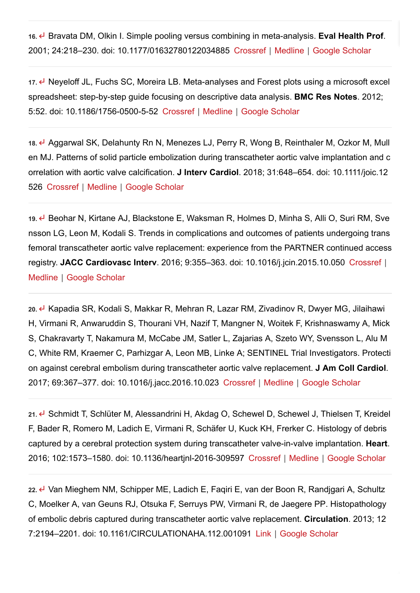**16.** Bravata DM, Olkin I. Simple pooling versus combining in meta-analysis. **Eval Health Prof**. 2001; 24:218–230. doi: 10.1177/01632780122034885 [Crossref](https://www.ahajournals.org/servlet/linkout?suffix=e_1_3_4_17_2&dbid=16&doi=10.1161%2FCIRCINTERVENTIONS.118.007546&key=10.1177%2F01632780122034885) | [Medline](https://www.ahajournals.org/servlet/linkout?suffix=e_1_3_4_17_2&dbid=8&doi=10.1161%2FCIRCINTERVENTIONS.118.007546&key=11523387) | [Google Scholar](http://scholar.google.com/scholar_lookup?hl=en&volume=24&publication_year=2001&pages=218-230&journal=Eval+Health+Prof&author=DM+Bravata&author=I+Olkin&title=Simple+pooling+versus+combining+in+meta-analysis.)

**17.** Neyeloff JL, Fuchs SC, Moreira LB. Meta-analyses and Forest plots using a microsoft excel spreadsheet: step-by-step guide focusing on descriptive data analysis. **BMC Res Notes**. 2012; 5:52. doi: 10.1186/1756-0500-5-52 [Crossref](https://www.ahajournals.org/servlet/linkout?suffix=e_1_3_4_18_2&dbid=16&doi=10.1161%2FCIRCINTERVENTIONS.118.007546&key=10.1186%2F1756-0500-5-52) | [Medline](https://www.ahajournals.org/servlet/linkout?suffix=e_1_3_4_18_2&dbid=8&doi=10.1161%2FCIRCINTERVENTIONS.118.007546&key=22264277) | [Google Scholar](http://scholar.google.com/scholar_lookup?hl=en&volume=5&publication_year=2012&pages=52&journal=BMC+Res+Notes&author=JL+Neyeloff&author=SC+Fuchs&author=LB+Moreira&title=Meta-analyses+and+Forest+plots+using+a+microsoft+excel+spreadsheet%3A+step-by-step+guide+focusing+on+descriptive+data+analysis.)

**18.** Aggarwal SK, Delahunty Rn N, Menezes LJ, Perry R, Wong B, Reinthaler M, Ozkor M, Mull en MJ. Patterns of solid particle embolization during transcatheter aortic valve implantation and c orrelation with aortic valve calcification. **J Interv Cardiol**. 2018; 31:648–654. doi: 10.1111/joic.12 526 [Crossref](https://www.ahajournals.org/servlet/linkout?suffix=e_1_3_4_19_2&dbid=16&doi=10.1161%2FCIRCINTERVENTIONS.118.007546&key=10.1111%2Fjoic.12526) | [Medline](https://www.ahajournals.org/servlet/linkout?suffix=e_1_3_4_19_2&dbid=8&doi=10.1161%2FCIRCINTERVENTIONS.118.007546&key=29900591) | [Google Scholar](http://scholar.google.com/scholar_lookup?hl=en&volume=31&publication_year=2018&pages=648-654&journal=J+Interv+Cardiol&author=SK+Aggarwal&author=N+Delahunty+Rn&author=LJ+Menezes&author=R+Perry&author=B+Wong&author=M+Reinthaler&author=M+Ozkor&author=MJ+Mullen&title=Patterns+of+solid+particle+embolization+during+transcatheter+aortic+valve+implantation+and+correlation+with+aortic+valve+calcification.)

**19.** Beohar N, Kirtane AJ, Blackstone E, Waksman R, Holmes D, Minha S, Alli O, Suri RM, Sve nsson LG, Leon M, Kodali S. Trends in complications and outcomes of patients undergoing trans femoral transcatheter aortic valve replacement: experience from the PARTNER continued access registry. **JACC Cardiovasc Interv**. 2016; 9:355–363. doi: 10.1016/j.jcin.2015.10.050 [Crossref](https://www.ahajournals.org/servlet/linkout?suffix=e_1_3_4_20_2&dbid=16&doi=10.1161%2FCIRCINTERVENTIONS.118.007546&key=10.1016%2Fj.jcin.2015.10.050) | [Medline](https://www.ahajournals.org/servlet/linkout?suffix=e_1_3_4_20_2&dbid=8&doi=10.1161%2FCIRCINTERVENTIONS.118.007546&key=26803420) | [Google Scholar](http://scholar.google.com/scholar_lookup?hl=en&volume=9&publication_year=2016&pages=355-363&journal=JACC+Cardiovasc+Interv&author=N+Beohar&author=AJ+Kirtane&author=E+Blackstone&author=R+Waksman&author=D+Holmes&author=S+Minha&author=O+Alli&author=RM+Suri&author=LG+Svensson&author=M+Leon&author=S+Kodali&title=Trends+in+complications+and+outcomes+of+patients+undergoing+transfemoral+transcatheter+aortic+valve+replacement%3A+experience+from+the+PARTNER+continued+access+registry.)

**20.** Kapadia SR, Kodali S, Makkar R, Mehran R, Lazar RM, Zivadinov R, Dwyer MG, Jilaihawi H, Virmani R, Anwaruddin S, Thourani VH, Nazif T, Mangner N, Woitek F, Krishnaswamy A, Mick S, Chakravarty T, Nakamura M, McCabe JM, Satler L, Zajarias A, Szeto WY, Svensson L, Alu M C, White RM, Kraemer C, Parhizgar A, Leon MB, Linke A; SENTINEL Trial Investigators. Protecti on against cerebral embolism during transcatheter aortic valve replacement. **J Am Coll Cardiol**. 2017; 69:367–377. doi: 10.1016/j.jacc.2016.10.023 [Crossref](https://www.ahajournals.org/servlet/linkout?suffix=e_1_3_4_21_2&dbid=16&doi=10.1161%2FCIRCINTERVENTIONS.118.007546&key=10.1016%2Fj.jacc.2016.10.023) | [Medline](https://www.ahajournals.org/servlet/linkout?suffix=e_1_3_4_21_2&dbid=8&doi=10.1161%2FCIRCINTERVENTIONS.118.007546&key=27815101) | [Google Scholar](http://scholar.google.com/scholar_lookup?hl=en&volume=69&publication_year=2017&pages=367-377&journal=J+Am+Coll+Cardiol&author=SR+Kapadia&author=S+Kodali&author=R+Makkar&author=R+Mehran&author=RM+Lazar&author=R+Zivadinov&author=MG+Dwyer&author=H+Jilaihawi&author=R+Virmani&author=S+Anwaruddin&author=VH+Thourani&author=T+Nazif&author=N+Mangner&author=F+Woitek&author=A+Krishnaswamy&author=S+Mick&author=T+Chakravarty&author=M+Nakamura&author=JM+McCabe&author=L+Satler&author=A+Zajarias&author=WY+Szeto&author=L+Svensson&author=MC+Alu&author=RM+White&author=C+Kraemer&author=A+Parhizgar&author=MB+Leon&author=A+Linke&title=Protection+against+cerebral+embolism+during+transcatheter+aortic+valve+replacement.)

21. <u>←</u> Schmidt T, Schlüter M, Alessandrini H, Akdag O, Schewel D, Schewel J, Thielsen T, Kreidel F, Bader R, Romero M, Ladich E, Virmani R, Schäfer U, Kuck KH, Frerker C. Histology of debris captured by a cerebral protection system during transcatheter valve-in-valve implantation. **Heart**. 2016; 102:1573–1580. doi: 10.1136/heartjnl-2016-309597 [Crossref](https://www.ahajournals.org/servlet/linkout?suffix=e_1_3_4_22_2&dbid=16&doi=10.1161%2FCIRCINTERVENTIONS.118.007546&key=10.1136%2Fheartjnl-2016-309597) | [Medline](https://www.ahajournals.org/servlet/linkout?suffix=e_1_3_4_22_2&dbid=8&doi=10.1161%2FCIRCINTERVENTIONS.118.007546&key=27220695) | [Google Scholar](http://scholar.google.com/scholar_lookup?hl=en&volume=102&publication_year=2016&pages=1573-1580&journal=Heart&author=T+Schmidt&author=M+Schl%C3%BCter&author=H+Alessandrini&author=O+Akdag&author=D+Schewel&author=J+Schewel&author=T+Thielsen&author=F+Kreidel&author=R+Bader&author=M+Romero&author=E+Ladich&author=R+Virmani&author=U+Sch%C3%A4fer&author=KH+Kuck&author=C+Frerker&title=Histology+of+debris+captured+by+a+cerebral+protection+system+during+transcatheter+valve-in-valve+implantation.)

**22.** Van Mieghem NM, Schipper ME, Ladich E, Faqiri E, van der Boon R, Randjgari A, Schultz C, Moelker A, van Geuns RJ, Otsuka F, Serruys PW, Virmani R, de Jaegere PP. Histopathology of embolic debris captured during transcatheter aortic valve replacement. **Circulation**. 2013; 12 7:2194–2201. doi: 10.1161/CIRCULATIONAHA.112.001091 [Link](https://www.ahajournals.org/doi/10.1161/circulationaha.112.001091) | [Google Scholar](http://scholar.google.com/scholar_lookup?hl=en&volume=127&publication_year=2013&pages=2194-2201&journal=Circulation&author=NM+Van+Mieghem&author=ME+Schipper&author=E+Ladich&author=E+Faqiri&author=R+van+der+Boon&author=A+Randjgari&author=C+Schultz&author=A+Moelker&author=RJ+van+Geuns&author=F+Otsuka&author=PW+Serruys&author=R+Virmani&author=PP+de+Jaegere&title=Histopathology+of+embolic+debris+captured+during+transcatheter+aortic+valve+replacement.)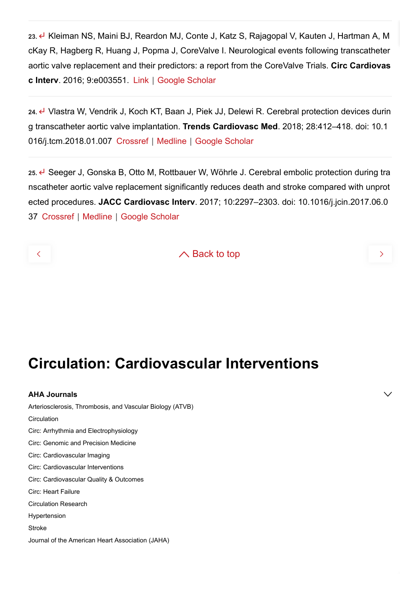**23.** Kleiman NS, Maini BJ, Reardon MJ, Conte J, Katz S, Rajagopal V, Kauten J, Hartman A, M cKay R, Hagberg R, Huang J, Popma J, CoreValve I. Neurological events following transcatheter aortic valve replacement and their predictors: a report from the CoreValve Trials. **Circ Cardiovas c Interv**. 2016; 9:e003551. [Link](https://www.ahajournals.org/doi/10.1161/CIRCINTERVENTIONS.115.003551) | [Google Scholar](http://scholar.google.com/scholar_lookup?hl=en&volume=9&publication_year=2016&pages=e003551&journal=Circ+Cardiovasc+Interv&author=NS+Kleiman&author=BJ+Maini&author=MJ+Reardon&author=J+Conte&author=S+Katz&author=V+Rajagopal&author=J+Kauten&author=A+Hartman&author=R+McKay&author=R+Hagberg&author=J+Huang&author=J+Popma&author=I+CoreValve&title=Neurological+events+following+transcatheter+aortic+valve+replacement+and+their+predictors%3A+a+report+from+the+CoreValve+Trials.)

**24.** Vlastra W, Vendrik J, Koch KT, Baan J, Piek JJ, Delewi R. Cerebral protection devices durin g transcatheter aortic valve implantation. **Trends Cardiovasc Med**. 2018; 28:412–418. doi: 10.1 016/j.tcm.2018.01.007 [Crossref](https://www.ahajournals.org/servlet/linkout?suffix=e_1_3_4_25_2&dbid=16&doi=10.1161%2FCIRCINTERVENTIONS.118.007546&key=10.1016%2Fj.tcm.2018.01.007) | [Medline](https://www.ahajournals.org/servlet/linkout?suffix=e_1_3_4_25_2&dbid=8&doi=10.1161%2FCIRCINTERVENTIONS.118.007546&key=29428159) | [Google Scholar](http://scholar.google.com/scholar_lookup?hl=en&volume=28&publication_year=2018&pages=412-418&journal=Trends+Cardiovasc+Med&author=W+Vlastra&author=J+Vendrik&author=KT+Koch&author=J+Baan&author=JJ+Piek&author=R+Delewi&title=Cerebral+protection+devices+during+transcatheter+aortic+valve+implantation.)

25. ← Seeger J, Gonska B, Otto M, Rottbauer W, Wöhrle J. Cerebral embolic protection during tra nscatheter aortic valve replacement significantly reduces death and stroke compared with unprot ected procedures. **JACC Cardiovasc Interv**. 2017; 10:2297–2303. doi: 10.1016/j.jcin.2017.06.0 37 [Crossref](https://www.ahajournals.org/servlet/linkout?suffix=e_1_3_4_26_2&dbid=16&doi=10.1161%2FCIRCINTERVENTIONS.118.007546&key=10.1016%2Fj.jcin.2017.06.037) | [Medline](https://www.ahajournals.org/servlet/linkout?suffix=e_1_3_4_26_2&dbid=8&doi=10.1161%2FCIRCINTERVENTIONS.118.007546&key=28917515) | [Google Scholar](http://scholar.google.com/scholar_lookup?hl=en&volume=10&publication_year=2017&pages=2297-2303&journal=JACC+Cardiovasc+Interv&author=J+Seeger&author=B+Gonska&author=M+Otto&author=W+Rottbauer&author=J+W%C3%B6hrle&title=Cerebral+embolic+protection+during+transcatheter+aortic+valve+replacement+significantly+reduces+death+and+stroke+compared+with+unprotected+procedures.)

 $\land$  Back to top

# **Circulation: Cardiovascular Interventions**

**AHA Journals** [Arteriosclerosis, Thrombosis, and Vascular Biology \(ATVB\)](https://www.ahajournals.org/journal/atvb) **[Circulation](https://www.ahajournals.org/journal/circ)** [Circ: Arrhythmia and Electrophysiology](https://www.ahajournals.org/journal/circep) [Circ: Genomic and Precision Medicine](https://www.ahajournals.org/journal/circgen) [Circ: Cardiovascular Imaging](https://www.ahajournals.org/journal/circimaging) [Circ: Cardiovascular Interventions](https://www.ahajournals.org/journal/circinterventions) [Circ: Cardiovascular Quality & Outcomes](https://www.ahajournals.org/journal/circoutcomes) [Circ: Heart Failure](https://www.ahajournals.org/journal/circheartfailure) [Circulation Research](https://www.ahajournals.org/journal/res) [Hypertension](https://www.ahajournals.org/journal/hyp) **[Stroke](https://www.ahajournals.org/journal/str)** [Journal of the American Heart Association \(JAHA\)](https://www.ahajournals.org/journal/jaha)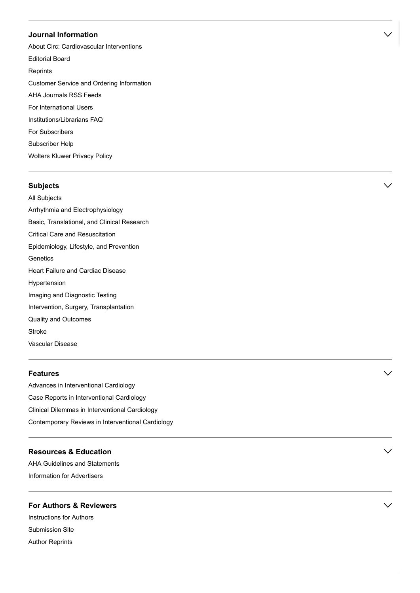### **Journal Information**

[About Circ: Cardiovascular Interventions](https://www.ahajournals.org/circinterventions/about) [Editorial Board](https://www.ahajournals.org/circinterventions/editorial-board) **[Reprints](https://www.ahajournals.org/commercial-reprints)** [Customer Service and Ordering Information](https://www.ahajournals.org/custserv) [AHA Journals RSS Feeds](https://www.ahajournals.org/feeds.jsp) [For International Users](https://www.ahajournals.org/international-users) [Institutions/Librarians FAQ](https://www.ahajournals.org/custserv/institutionalFAQ) [For Subscribers](https://www.ahajournals.org/custserv/subscribe) [Subscriber Help](https://www.ahajournals.org/custserv/help) [Wolters Kluwer Privacy Policy](https://journals.lww.com/_layouts/15/oaks.journals/privacy.aspx)

### **Subjects**

[All Subjects](https://www.ahajournals.org/allSubjects) [Arrhythmia and Electrophysiology](https://www.ahajournals.org/browse/circinterventions?taxonomyUri=hwp-journal-coll&tagUri=arel) [Basic, Translational, and Clinical Research](https://www.ahajournals.org/browse/circinterventions?taxonomyUri=hwp-journal-coll&tagUri=btcr) [Critical Care and Resuscitation](https://www.ahajournals.org/browse/circinterventions?taxonomyUri=hwp-journal-coll&tagUri=ccr) [Epidemiology, Lifestyle, and Prevention](https://www.ahajournals.org/browse/circinterventions?taxonomyUri=hwp-journal-coll&tagUri=elp) **[Genetics](https://www.ahajournals.org/browse/circinterventions?taxonomyUri=hwp-journal-coll&tagUri=gen)** [Heart Failure and Cardiac Disease](https://www.ahajournals.org/browse/circinterventions?taxonomyUri=hwp-journal-coll&tagUri=hfcd) [Hypertension](https://www.ahajournals.org/browse/circinterventions?taxonomyUri=hwp-journal-coll&tagUri=hyp) [Imaging and Diagnostic Testing](https://www.ahajournals.org/browse/circinterventions?taxonomyUri=hwp-journal-coll&tagUri=idt) [Intervention, Surgery, Transplantation](https://www.ahajournals.org/browse/circinterventions?taxonomyUri=hwp-journal-coll&tagUri=ist) [Quality and Outcomes](https://www.ahajournals.org/browse/circinterventions?taxonomyUri=hwp-journal-coll&tagUri=qo) [Stroke](https://www.ahajournals.org/browse/circinterventions?taxonomyUri=hwp-journal-coll&tagUri=str) [Vascular Disease](https://www.ahajournals.org/browse/circinterventions?taxonomyUri=hwp-journal-coll&tagUri=vasc)

### **Features**

[Advances in Interventional Cardiology](https://www.ahajournals.org/browse/circinterventions?taxonomyUri=features-menus&tagUri=circinterventions-advances) [Case Reports in Interventional Cardiology](https://www.ahajournals.org/browse/circinterventions?taxonomyUri=features-menus&tagUri=circinterventions-case-reports) [Clinical Dilemmas in Interventional Cardiology](https://www.ahajournals.org/browse/circinterventions?taxonomyUri=features-menus&tagUri=circinterventions-dilemmas) [Contemporary Reviews in Interventional Cardiology](https://www.ahajournals.org/browse/circinterventions?taxonomyUri=features-menus&tagUri=circinterventions-reviews)

### **Resources & Education**

[AHA Guidelines and Statements](http://professional.heart.org/professional/GuidelinesStatements/UCM_316885_Guidelines-Statements.jsp) [Information for Advertisers](http://advertising.lww.com/media-kits/circulation-cardiovascular-interventions.html)

### **For Authors & Reviewers**

[Instructions for Authors](https://www.ahajournals.org/circinterventions/author-instructions) [Submission Site](https://circinterventions-submit.aha-journals.org/) [Author Reprints](https://www.ahajournals.org/author-reprints)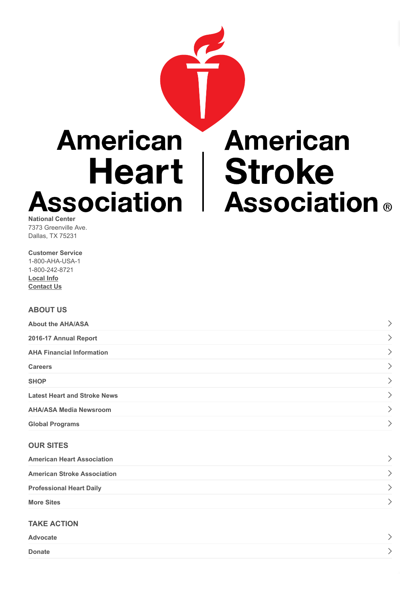

7373 Greenville Ave. Dallas, TX 75231

**Customer Service** 1-800-AHA-USA-1 1-800-242-8721 **[Local Info](http://www.heart.org/HEARTORG/localization/chooseState.jsp) [Contact Us](http://www.heart.org/HEARTORG/General/Contact-Us_UCM_308813_Article.jsp#.V0iRafkrJpg)**

### **ABOUT US**

| <b>About the AHA/ASA</b>            |  |
|-------------------------------------|--|
| 2016-17 Annual Report               |  |
| <b>AHA Financial Information</b>    |  |
| <b>Careers</b>                      |  |
| <b>SHOP</b>                         |  |
| <b>Latest Heart and Stroke News</b> |  |
| <b>AHA/ASA Media Newsroom</b>       |  |
| <b>Global Programs</b>              |  |

### **OUR SITES**

| <b>American Heart Association</b>  |  |
|------------------------------------|--|
| <b>American Stroke Association</b> |  |
| <b>Professional Heart Daily</b>    |  |
| <b>More Sites</b>                  |  |

### **TAKE ACTION**

| Advocate      |  |  |
|---------------|--|--|
| <b>Donate</b> |  |  |

 $\,>\,$ 

 $\overline{\phantom{0}}$